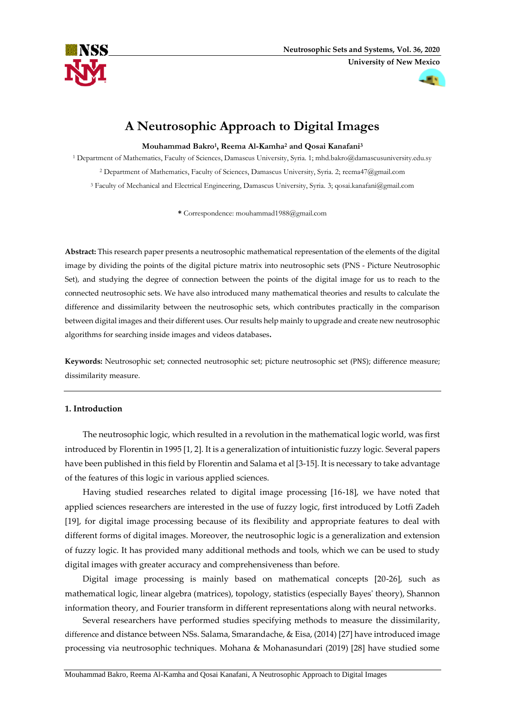



# **A Neutrosophic Approach to Digital Images**

**Mouhammad Bakro<sup>1</sup> , Reema Al-Kamha<sup>2</sup> and Qosai Kanafani<sup>3</sup>**

<sup>1</sup> Department of Mathematics, Faculty of Sciences, Damascus University, Syria. 1; mhd.bakro@damascusuniversity.edu.sy

<sup>2</sup> Department of Mathematics, Faculty of Sciences, Damascus University, Syria. 2; [reema47@gmail.com](mailto:reema47@gmail.com)

<sup>3</sup> Faculty of Mechanical and Electrical Engineering, Damascus University, Syria. 3; [qosai.kanafani@gmail.com](mailto:qosai.kanafani@gmail.com)

**\*** Correspondence: [mouhammad1988@gmail.com](mailto:mouhammad1988@gmail.com)

**Abstract:** This research paper presents a neutrosophic mathematical representation of the elements of the digital image by dividing the points of the digital picture matrix into neutrosophic sets (PNS - Picture Neutrosophic Set), and studying the degree of connection between the points of the digital image for us to reach to the connected neutrosophic sets. We have also introduced many mathematical theories and results to calculate the difference and dissimilarity between the neutrosophic sets, which contributes practically in the comparison between digital images and their different uses. Our results help mainly to upgrade and create new neutrosophic algorithms for searching inside images and videos databases**.**

**Keywords:** Neutrosophic set; connected neutrosophic set; picture neutrosophic set (PNS); difference measure; dissimilarity measure.

## **1. Introduction**

The neutrosophic logic, which resulted in a revolution in the mathematical logic world, was first introduced by Florentin in 1995 [1, 2]. It is a generalization of intuitionistic fuzzy logic. Several papers have been published in this field by Florentin and Salama et al [3-15]. It is necessary to take advantage of the features of this logic in various applied sciences.

Having studied researches related to digital image processing [16-18], we have noted that applied sciences researchers are interested in the use of fuzzy logic, first introduced by Lotfi Zadeh [19], for digital image processing because of its flexibility and appropriate features to deal with different forms of digital images. Moreover, the neutrosophic logic is a generalization and extension of fuzzy logic. It has provided many additional methods and tools, which we can be used to study digital images with greater accuracy and comprehensiveness than before.

Digital image processing is mainly based on mathematical concepts [20-26], such as mathematical logic, linear algebra (matrices), topology, statistics (especially Bayes' theory), Shannon information theory, and Fourier transform in different representations along with neural networks.

Several researchers have performed studies specifying methods to measure the dissimilarity, difference and distance between NSs. Salama, Smarandache, & Eisa, (2014) [27] have introduced image processing via neutrosophic techniques. Mohana & Mohanasundari (2019) [28] have studied some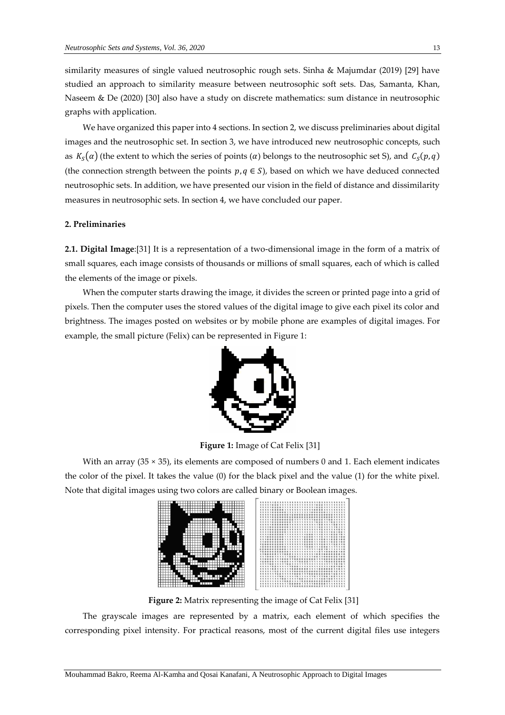similarity measures of single valued neutrosophic rough sets. Sinha & Majumdar (2019) [29] have studied an approach to similarity measure between neutrosophic soft sets. Das, Samanta, Khan, Naseem & De (2020) [30] also have a study on discrete mathematics: sum distance in neutrosophic graphs with application.

We have organized this paper into 4 sections. In section 2, we discuss preliminaries about digital images and the neutrosophic set. In section 3, we have introduced new neutrosophic concepts, such as  $K_S(\alpha)$  (the extent to which the series of points  $(\alpha)$  belongs to the neutrosophic set S), and  $\mathcal{C}_S(p,q)$ (the connection strength between the points  $p, q \in S$ ), based on which we have deduced connected neutrosophic sets. In addition, we have presented our vision in the field of distance and dissimilarity measures in neutrosophic sets. In section 4, we have concluded our paper.

## **2. Preliminaries**

**2.1. Digital Image**:[31] It is a representation of a two-dimensional image in the form of a matrix of small squares, each image consists of thousands or millions of small squares, each of which is called the elements of the image or pixels.

When the computer starts drawing the image, it divides the screen or printed page into a grid of pixels. Then the computer uses the stored values of the digital image to give each pixel its color and brightness. The images posted on websites or by mobile phone are examples of digital images. For example, the small picture (Felix) can be represented in Figure 1:



**Figure 1:** Image of Cat Felix [31]

With an array (35  $\times$  35), its elements are composed of numbers 0 and 1. Each element indicates the color of the pixel. It takes the value (0) for the black pixel and the value (1) for the white pixel. Note that digital images using two colors are called binary or Boolean images.



**Figure 2:** Matrix representing the image of Cat Felix [31]

The grayscale images are represented by a matrix, each element of which specifies the corresponding pixel intensity. For practical reasons, most of the current digital files use integers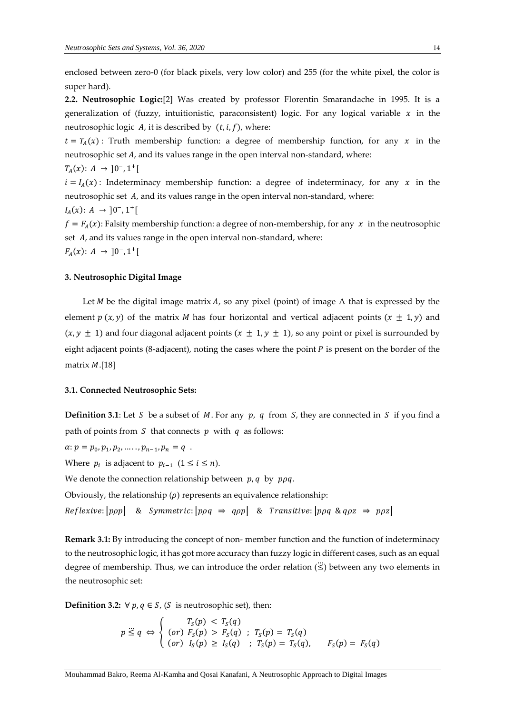enclosed between zero-0 (for black pixels, very low color) and 255 (for the white pixel, the color is super hard).

**2.2. Neutrosophic Logic:**[2] Was created by professor Florentin Smarandache in 1995. It is a generalization of (fuzzy, intuitionistic, paraconsistent) logic. For any logical variable  $x$  in the neutrosophic logic  $A$ , it is described by  $(t, i, f)$ , where:

 $t = T_A(x)$ : Truth membership function: a degree of membership function, for any x in the neutrosophic set  $A$ , and its values range in the open interval non-standard, where:

$$
T_A(x)\colon\thinspace A\ \to\ ]0^-, 1^+[
$$

 $i = I<sub>A</sub>(x)$ : Indeterminacy membership function: a degree of indeterminacy, for any x in the neutrosophic set  $A$ , and its values range in the open interval non-standard, where:

$$
I_A(x)\colon A \to [0^-, 1^+[
$$

 $f = F_A(x)$ : Falsity membership function: a degree of non-membership, for any x in the neutrosophic set  $A$ , and its values range in the open interval non-standard, where:  $F_A(x)$ :  $A \to [0^-, 1^+]$ 

## **3. Neutrosophic Digital Image**

Let  $M$  be the digital image matrix  $A$ , so any pixel (point) of image  $A$  that is expressed by the element  $p(x, y)$  of the matrix *M* has four horizontal and vertical adjacent points  $(x \pm 1, y)$  and  $(x, y \pm 1)$  and four diagonal adjacent points  $(x \pm 1, y \pm 1)$ , so any point or pixel is surrounded by eight adjacent points (8-adjacent), noting the cases where the point  $P$  is present on the border of the matrix  $M$ .[18]

#### **3.1. Connected Neutrosophic Sets:**

**Definition 3.1**: Let S be a subset of M. For any p, q from S, they are connected in S if you find a path of points from  $S$  that connects  $p$  with  $q$  as follows:

 $\alpha: p = p_0, p_1, p_2, \ldots, p_{n-1}, p_n = q$ .

Where  $p_i$  is adjacent to  $p_{i-1}$   $(1 \leq i \leq n)$ .

We denote the connection relationship between  $p, q$  by  $p \rho q$ .

Obviously, the relationship  $(\rho)$  represents an equivalence relationship:

 $Reflexive: [ppp]$  & Symmetric:  $[ppq \Rightarrow qpp]$  & Transitive:  $[ppq \& qpz \Rightarrow ppz]$ 

**Remark 3.1:** By introducing the concept of non- member function and the function of indeterminacy to the neutrosophic logic, it has got more accuracy than fuzzy logic in different cases, such as an equal degree of membership. Thus, we can introduce the order relation  $(\leq)$  between any two elements in the neutrosophic set:

**Definition 3.2:** ∀  $p, q \in S$ , (S is neutrosophic set), then:

$$
p \stackrel{\cdot}{\leq} q \Leftrightarrow \begin{cases} T_S(p) < T_S(q) \\ (or) \ F_S(p) > F_S(q) \\ (or) \ I_S(p) \geq I_S(q) \\ (or) \end{cases}; \ T_S(p) = T_S(q), \ F_S(p) = F_S(q)
$$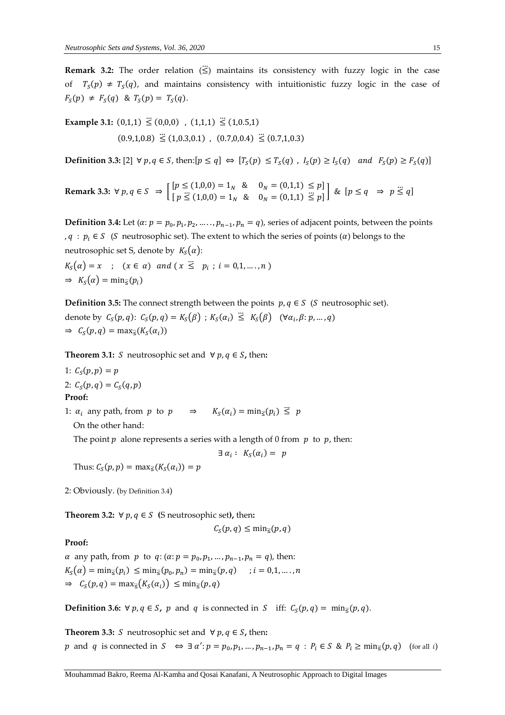**Remark 3.2:** The order relation  $(\leq)$  maintains its consistency with fuzzy logic in the case of  $T_S(p) \neq T_S(q)$ , and maintains consistency with intuitionistic fuzzy logic in the case of  $F_S(p) \neq F_S(q)$  &  $T_S(p) = T_S(q)$ .

**Example 3.1:**  $(0,1,1) \le (0,0,0)$ ,  $(1,1,1) \le (1,0.5,1)$  $(0.9,1,0.8) \leq (1,0.3,0.1)$ ,  $(0.7,0,0.4) \leq (0.7,1,0.3)$ 

**Definition 3.3:** [2]  $\forall p, q \in S$ , then: $[p \le q] \Leftrightarrow [T_S(p) \le T_S(q)$ ,  $I_S(p) \ge I_S(q)$  and  $F_S(p) \ge F_S(q)$ ]

**Remark 3.3:**  $\forall p, q \in S \Rightarrow \begin{cases} [p \le (1,0,0) = 1_N & 8 \\ [p \ge (1,0,0) = 1 \end{cases}$   $\begin{cases} 0 & 0 \\ 0 & 0 \end{cases} = (0,1,1) \le p$  $[p \le (1,0,0) = 1_N \& 0_N = (0,1,1) \le p] \& [p \le q \Rightarrow p \le q]$ 

**Definition 3.4:** Let  $(\alpha: p = p_0, p_1, p_2, \dots, p_{n-1}, p_n = q)$ , series of adjacent points, between the points ,  $q : p_i \in S$  (S neutrosophic set). The extent to which the series of points ( $\alpha$ ) belongs to the neutrosophic set S, denote by  $K_S(\alpha)$ :

$$
K_S(\alpha) = x \quad ; \quad (x \in \alpha) \quad and \quad (x \leq p_i \quad ; \quad i = 0, 1, \dots, n)
$$
  
\n
$$
\Rightarrow K_S(\alpha) = \min_{\leq p_i} (p_i)
$$

**Definition 3.5:** The connect strength between the points  $p, q \in S$  (*S* neutrosophic set). denote by  $C_S(p,q)$ :  $C_S(p,q) = K_S(\beta)$ ;  $K_S(\alpha_i) \leq K_S(\beta)$   $(\forall \alpha_i, \beta; p, ..., q)$  $\Rightarrow$   $C_S(p,q) = \max_{\leq}(K_S(\alpha_i))$ 

**Theorem 3.1:** *S* neutrosophic set and  $\forall p, q \in S$ , then:

- 1:  $C_S(p, p) = p$
- 2:  $C_S(p,q) = C_S(q,p)$

**Proof:**

1:  $\alpha_i$  any path, from p to  $p \implies K_S(\alpha_i) = \min_{\leq} (p_i) \leq p$ On the other hand:

The point  $p$  alone represents a series with a length of 0 from  $p$  to  $p$ , then:

$$
\exists \alpha_i : K_S(\alpha_i) = p
$$

Thus:  $C_S(p, p) = \max_{\vec{s}}(K_S(\alpha_i)) = p$ 

2: Obviously. (by Definition 3.4)

**Theorem 3.2:**  $\forall p, q \in S$  (S neutrosophic set), then:

$$
C_S(p,q) \leq \min_{\leq}(p,q)
$$

## **Proof:**

 $\alpha$  any path, from  $p$  to  $q$ :  $(\alpha : p = p_0, p_1, ..., p_{n-1}, p_n = q)$ , then:  $K_S(\alpha) = \min_{\leq}(p_i) \leq \min_{\leq}(p_0, p_n) = \min_{\leq}(p, q) \quad : i = 0, 1, \dots, n$  $\Rightarrow$   $C_S(p,q) = \max_{\leq}(K_S(\alpha_i)) \leq \min_{\leq}(p,q)$ 

**Definition 3.6:** ∀  $p, q \in S$ ,  $p$  and  $q$  is connected in  $S$  iff:  $C_S(p, q) = \min_{\leq} (p, q)$ .

**Theorem 3.3:** *S* neutrosophic set and  $\forall p, q \in S$ , then: p and q is connected in  $S \iff \exists \alpha': p = p_0, p_1, ..., p_{n-1}, p_n = q : P_i \in S \& P_i \ge \min_{\leq} (p, q)$  (for all i)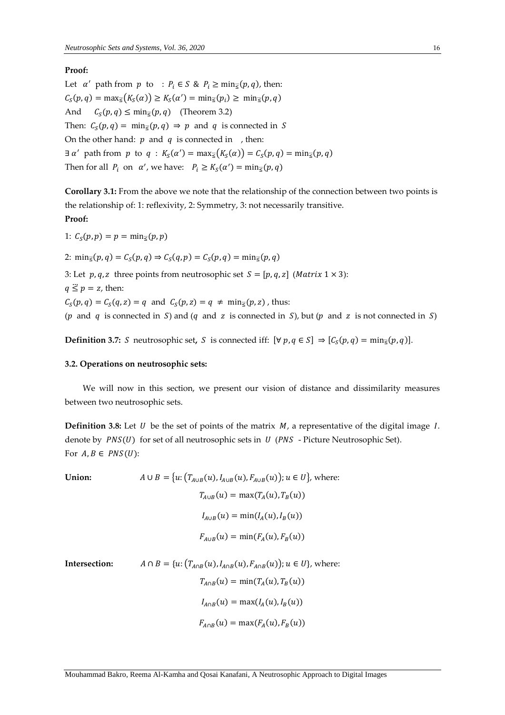# **Proof:**

Let  $\alpha'$  path from  $p$  to :  $P_i \in S \& P_i \ge \min_{\leq} (p, q)$ , then:  $C_S(p,q) = \max_{\leq} (K_S(\alpha)) \geq K_S(\alpha') = \min_{\leq} (p_i) \geq \min_{\leq} (p,q)$ And  $C_S(p, q) \le \min_{\vec{s}}(p, q)$  (Theorem 3.2) Then:  $C_S(p,q) = \min_{\xi}(p,q) \Rightarrow p$  and q is connected in S On the other hand:  $p$  and  $q$  is connected in , then:  $\exists \alpha'$  path from  $p$  to  $q$ :  $K_S(\alpha') = \max_{\vec{s}}(K_S(\alpha)) = C_S(p,q) = \min_{\vec{s}}(p,q)$ Then for all  $P_i$  on  $\alpha'$ , we have:  $P_i \geq K_S(\alpha') = \min_{\vec{z}}(p, q)$ 

**Corollary 3.1:** From the above we note that the relationship of the connection between two points is the relationship of: 1: reflexivity, 2: Symmetry, 3: not necessarily transitive.

# **Proof:**

1:  $C_S(p, p) = p = \min_{\leq}(p, p)$ 

2:  $\min_{\vec{s}}(p, q) = C_S(p, q) \Rightarrow C_S(q, p) = C_S(p, q) = \min_{\vec{s}}(p, q)$ 

3: Let  $p, q, z$  three points from neutrosophic set  $S = [p, q, z]$  (*Matrix*  $1 \times 3$ ):

$$
q \leq p = z
$$
, then:

 $C_S(p,q) = C_S(q,z) = q$  and  $C_S(p,z) = q \neq \min_{\leq}(p,z)$ , thus:

( $p$  and  $q$  is connected in  $S$ ) and ( $q$  and  $z$  is connected in  $S$ ), but ( $p$  and  $z$  is not connected in  $S$ )

**Definition 3.7:** *S* neutrosophic set, *S* is connected iff:  $[\forall p, q \in S] \Rightarrow [C_S(p, q) = \min_{\leq} (p, q)]$ .

#### **3.2. Operations on neutrosophic sets:**

We will now in this section, we present our vision of distance and dissimilarity measures between two neutrosophic sets.

**Definition 3.8:** Let U be the set of points of the matrix  $M$ , a representative of the digital image  $I$ . denote by  $PNS(U)$  for set of all neutrosophic sets in  $U$  (PNS - Picture Neutrosophic Set). For  $A, B \in PNS(U)$ :

**Union:**  $A \cup B = \{u: (T_{A \cup B}(u), I_{A \cup B}(u), F_{A \cup B}(u)); u \in U\}$ , where:  $T_{A\cup B}(u) = \max(T_A(u), T_B(u))$  $I_{A\cup B}(u) = \min(I_A(u), I_B(u))$  $F_{A\cup B}(u) = \min(F_A(u), F_B(u))$ **Intersection:**  $A \cap B = \{u: (T_{A \cap B}(u), I_{A \cap B}(u), F_{A \cap B}(u))\}$ ;  $u \in U\}$ , where:  $T_{A \cap B}(u) = \min(T_A(u), T_B(u))$  $I_{A \cap B}(u) = \max(I_A(u), I_B(u))$  $F_{A \cap B}(u) = \max(F_A(u), F_B(u))$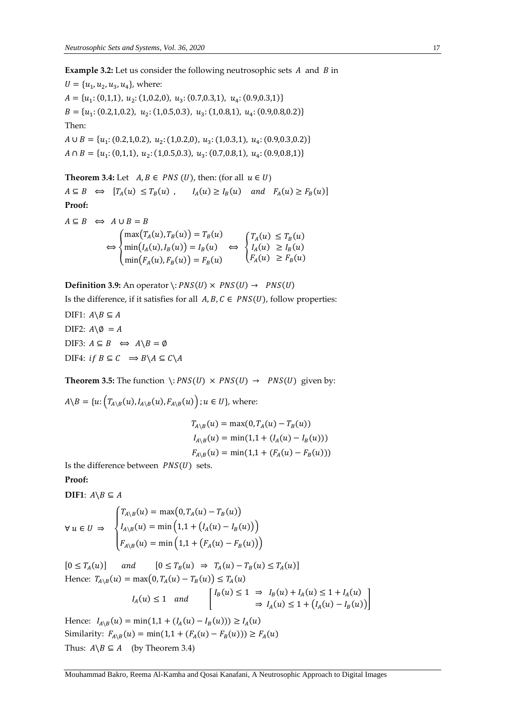**Example 3.2:** Let us consider the following neutrosophic sets A and B in

 $U = \{u_1, u_2, u_3, u_4\}$ , where:  $A = \{u_1: (0,1,1), u_2: (1,0.2,0), u_3: (0.7,0.3,1), u_4: (0.9,0.3,1)\}\$  $B = \{u_1: (0.2, 1, 0.2), u_2: (1, 0.5, 0.3), u_3: (1, 0.8, 1), u_4: (0.9, 0.8, 0.2)\}\$ Then:  $A \cup B = \{u_1: (0.2, 1, 0.2), u_2: (1, 0.2, 0), u_3: (1, 0.3, 1), u_4: (0.9, 0.3, 0.2)\}\$  $A \cap B = \{u_1: (0,1,1), u_2: (1,0.5,0.3), u_3: (0.7,0.8,1), u_4: (0.9,0.8,1)\}\$ 

**Theorem 3.4:** Let  $A, B \in PNS(U)$ , then: (for all  $u \in U$ )  $A \subseteq B \iff [T_A(u) \le T_B(u)$ ,  $I_A(u) \ge I_B(u)$  and  $F_A(u) \ge F_B(u)$ **Proof:**  $A \subseteq B \iff A \cup B = B$  $\max(T_A(u), T_B(u)) = T_B(u)$   $(T_A(u) \le T_B(u))$ 

$$
\Leftrightarrow \begin{cases} \min(I_A(u), I_B(u)) = I_B(u) & \Leftrightarrow \begin{cases} I_A(u) & \ge I_B(u) \\ I_A(u) & \ge I_B(u) \end{cases} \\ \min(F_A(u), F_B(u)) = F_B(u) & \end{cases}
$$

**Definition 3.9:** An operator  $\cdot$ :  $PNS(U) \times PNS(U) \rightarrow PNS(U)$ 

Is the difference, if it satisfies for all  $A, B, C \in PNS(U)$ , follow properties:

DIF1:  $A \ B \subseteq A$ DIF2:  $A \& Q = A$ DIF3:  $A \subseteq B \iff A \setminus B = \emptyset$ DIF4: if  $B \subseteq C \implies B \setminus A \subseteq C \setminus A$ 

**Theorem 3.5:** The function  $\cdot$ : *PNS(U)*  $\times$  *PNS(U)*  $\rightarrow$  *PNS(U)* given by:

 $A\backslash B=\{u{:}\left(\textit{T}_{A\backslash B}(u),\textit{I}_{A\backslash B}(u),\textit{F}_{A\backslash B}(u)\right); u\in U\},$  where:

$$
T_{A \setminus B}(u) = \max(0, T_A(u) - T_B(u))
$$
  
\n
$$
I_{A \setminus B}(u) = \min(1, 1 + (I_A(u) - I_B(u)))
$$
  
\n
$$
F_{A \setminus B}(u) = \min(1, 1 + (F_A(u) - F_B(u)))
$$

Is the difference between  $PNS(U)$  sets.

**Proof:**

**DIF1**:  $A \ B \subseteq A$ 

$$
\forall u \in U \Rightarrow \begin{cases} T_{A \setminus B}(u) = \max(0, T_A(u) - T_B(u)) \\ I_{A \setminus B}(u) = \min\left(1, 1 + (I_A(u) - I_B(u))\right) \\ F_{A \setminus B}(u) = \min\left(1, 1 + (F_A(u) - F_B(u))\right) \end{cases}
$$

 $[0 \leq T_A(u)]$  and  $[0 \leq T_B(u) \Rightarrow T_A(u) - T_B(u) \leq T_A(u)]$ Hence:  $T_{A \setminus B}(u) = \max(0, T_A(u) - T_B(u)) \le T_A(u)$  $I_A(u) \le 1$  and  $I_B(u) \le 1 \Rightarrow I_B(u) + I_A(u) \le 1 + I_A(u)$ <br> $I_B(u) \le 1 + (I(u) - I_A(u))$ ⇒  $I_A(u) \leq 1 + (I_A(u) - I_B(u))$ 

Hence:  $I_{A \setminus B}(u) = \min(1, 1 + (I_A(u) - I_B(u))) \ge I_A(u)$ Similarity:  $F_{A \setminus B}(u) = \min(1, 1 + (F_A(u) - F_B(u))) \ge F_A(u)$ Thus:  $A \ B \subseteq A$  (by Theorem 3.4)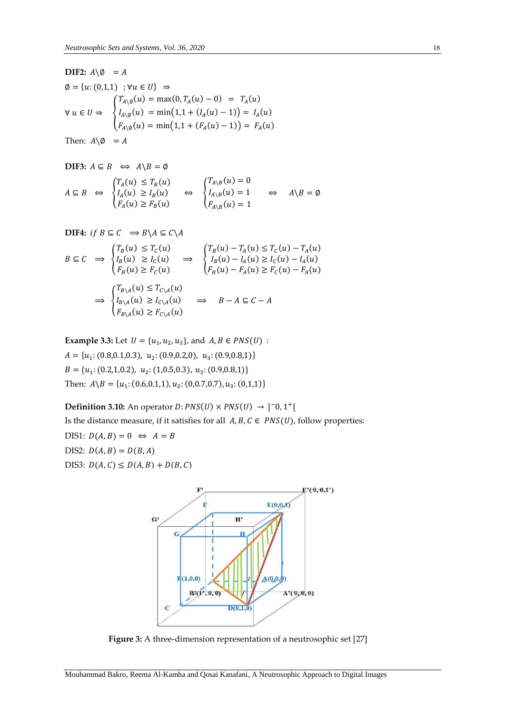**DIF2:** 
$$
A \setminus \emptyset = A
$$

\n $\emptyset = \{u: (0,1,1) : \forall u \in U\} \Rightarrow$ 

\n $\emptyset = \{u: (0,1,1) : \forall u \in U\} \Rightarrow$ 

\n $\{T_{A \setminus \emptyset}(u) = \max(0, T_A(u) - 0) = T_A(u) \}$ 

\n $\forall u \in U \Rightarrow$ 

\n $\{I_{A \setminus \emptyset}(u) = \min(1, 1 + (I_A(u) - 1)) = I_A(u) \}$ 

\n $F_A(u) = \min(1, 1 + (F_A(u) - 1)) = F_A(u)$ 

Then:  $A \setminus \emptyset = A$ 

**DIF3:** 
$$
A \subseteq B \iff A \setminus B = \emptyset
$$
  
\n $A \subseteq B \iff \begin{cases} T_A(u) \le T_B(u) \\ I_A(u) \ge I_B(u) \\ F_A(u) \ge F_B(u) \end{cases} \iff \begin{cases} T_{A \setminus B}(u) = 0 \\ I_{A \setminus B}(u) = 1 \\ F_{A \setminus B}(u) = 1 \end{cases} \iff A \setminus B = \emptyset$ 

**DIFF:** if 
$$
B \subseteq C \implies B \setminus A \subseteq C \setminus A
$$

$$
B \subseteq C \implies \begin{cases} T_B(u) \le T_C(u) \\ I_B(u) \ge I_C(u) \\ F_B(u) \ge F_C(u) \end{cases} \implies \begin{cases} T_B(u) - T_A(u) \le T_C(u) - T_A(u) \\ I_B(u) - I_A(u) \ge I_C(u) - I_A(u) \\ F_B(u) - F_A(u) \ge F_C(u) - F_A(u) \end{cases}
$$

$$
\implies \begin{cases} T_{B \setminus A}(u) \le T_{C \setminus A}(u) \\ I_{B \setminus A}(u) \ge I_{C \setminus A}(u) \\ F_{B \setminus A}(u) \ge F_{C \setminus A}(u) \end{cases} \implies B - A \subseteq C - A
$$

**Example 3.3:** Let  $U = \{u_1, u_2, u_3\}$ , and  $A, B \in PNS(U)$ :  $A = \{u_1: (0.8, 0.1, 0.3), u_2: (0.9, 0.2, 0), u_3: (0.9, 0.8, 1)\}\$  $B = \{u_1: (0.2, 1, 0.2), u_2: (1, 0.5, 0.3), u_3: (0.9, 0.8, 1)\}\$ Then:  $A \ B = \{u_1: (0.6, 0.1, 1), u_2: (0, 0.7, 0.7), u_3: (0, 1, 1)\}\$ 

**Definition 3.10:** An operator  $D: PNS(U) \times PNS(U) \rightarrow ]-0, 1^+[$ 

Is the distance measure, if it satisfies for all  $A, B, C \in PNS(U)$ , follow properties:

DIS1:  $D(A, B) = 0 \Leftrightarrow A = B$ DIS2:  $D(A, B) = D(B, A)$ DIS3:  $D(A, C) \le D(A, B) + D(B, C)$ 



**Figure 3:** A three-dimension representation of a neutrosophic set [27]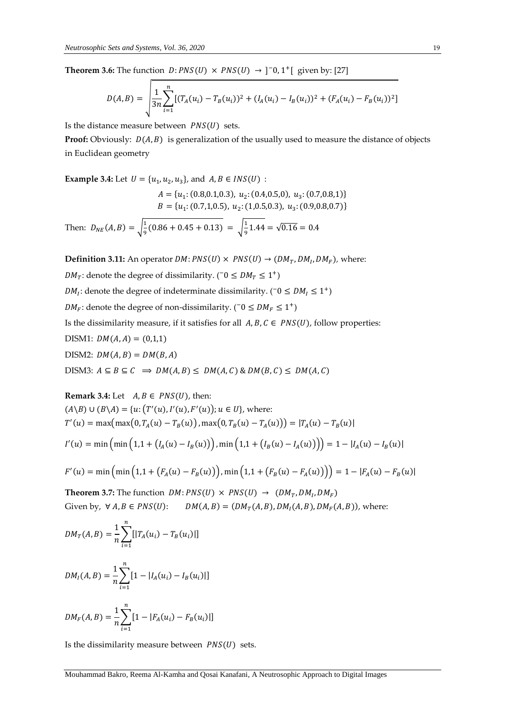**Theorem 3.6:** The function  $D: PNS(U) \times PNS(U) \rightarrow ]-0, 1^+[$  given by: [27]

$$
D(A,B) = \sqrt{\frac{1}{3n} \sum_{i=1}^{n} \left[ (T_A(u_i) - T_B(u_i))^2 + (I_A(u_i) - I_B(u_i))^2 + (F_A(u_i) - F_B(u_i))^2 \right]}
$$

Is the distance measure between  $PNS(U)$  sets.

**Proof:** Obviously:  $D(A, B)$  is generalization of the usually used to measure the distance of objects in Euclidean geometry

**Example 3.4:** Let  $U = \{u_1, u_2, u_3\}$ , and  $A, B \in INS(U)$ :

$$
A = \{u_1: (0.8, 0.1, 0.3), u_2: (0.4, 0.5, 0), u_3: (0.7, 0.8, 1)\}
$$
  

$$
B = \{u_1: (0.7, 1, 0.5), u_2: (1, 0.5, 0.3), u_3: (0.9, 0.8, 0.7)\}
$$

Then:  $D_{NE}(A, B) = \sqrt{\frac{1}{9}}$  $\frac{1}{9}(0.86 + 0.45 + 0.13) = \sqrt{\frac{1}{9}}$  $\frac{1}{9}$ 1.44 =  $\sqrt{0.16}$  = 0.4

**Definition 3.11:** An operator  $DM: PNS(U) \times PNS(U) \rightarrow (DM_T, DM_I, DM_F)$ , where:

*DM*<sub>*T*</sub>: denote the degree of dissimilarity. ( $\bar{o} \leq DM_T \leq 1^+$ )

 $DM_I$ : denote the degree of indeterminate dissimilarity. ( $\bar{o} \leq DM_I \leq 1^+$ )

 $DM_F$ : denote the degree of non-dissimilarity. ( $^{\circ}$  0  $\leq DM_F \leq 1^+$ )

Is the dissimilarity measure, if it satisfies for all  $A, B, C \in PNS(U)$ , follow properties:

DISM1:  $DM(A, A) = (0,1,1)$ DISM2:  $DM(A, B) = DM(B, A)$ DISM3:  $A \subseteq B \subseteq C \implies DM(A, B) \le DM(A, C) \& DM(B, C) \le DM(A, C)$ 

**Remark 3.4:** Let  $A, B \in PNS(U)$ , then:

$$
(A \setminus B) \cup (B \setminus A) = \{u: (T'(u), I'(u), F'(u)); u \in U\}, \text{ where:}
$$
  
\n
$$
T'(u) = \max(\max(0, T_A(u) - T_B(u)), \max(0, T_B(u) - T_A(u))) = |T_A(u) - T_B(u)|
$$
  
\n
$$
I'(u) = \min(\min(1, 1 + (I_A(u) - I_B(u))), \min(1, 1 + (I_B(u) - I_A(u))) = 1 - |I_A(u) - I_B(u)|
$$

$$
F'(u) = \min\left(\min\left(1,1 + \left(F_A(u) - F_B(u)\right)\right), \min\left(1,1 + \left(F_B(u) - F_A(u)\right)\right)\right) = 1 - |F_A(u) - F_B(u)|
$$

**Theorem 3.7:** The function  $DM: PNS(U) \times PNS(U) \rightarrow (DM_T, DM_I, DM_F)$ Given by,  $\forall A, B \in PNS(U): \quad DM(A, B) = (DM_T(A, B), DM_I(A, B), DM_F(A, B)),$  where:

$$
DM_T(A, B) = \frac{1}{n} \sum_{i=1}^{n} [|T_A(u_i) - T_B(u_i)|]
$$

$$
DM_I(A, B) = \frac{1}{n} \sum_{i=1}^{n} [1 - |I_A(u_i) - I_B(u_i)|]
$$

$$
DM_F(A, B) = \frac{1}{n} \sum_{i=1}^{n} [1 - |F_A(u_i) - F_B(u_i)|]
$$

Is the dissimilarity measure between  $PNS(U)$  sets.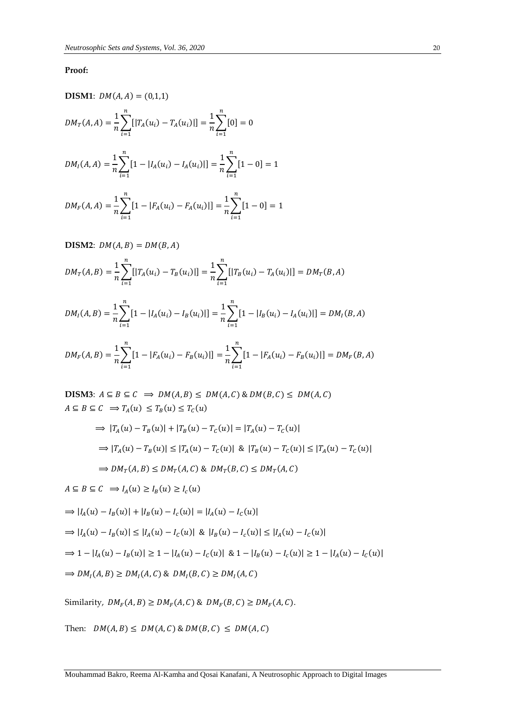## **Proof:**

**DISM1**:  $DM(A, A) = (0, 1, 1)$  $DM_T(A, A) = \frac{1}{n}$  $\frac{1}{n} \sum [ |T_A(u_i) - T_A(u_i)| ]$  $\boldsymbol{n}$  $i=1$  $=$  $\frac{1}{1}$  $\frac{1}{n}\sum[0]$  $\boldsymbol{n}$  $i=1$  $= 0$  $DM_I(A, A) = \frac{1}{n}$  $\frac{1}{n}\sum_{i=1}^{n} [1 - |I_A(u_i) - I_A(u_i)|]$  $\boldsymbol{n}$  $i=1$  $=\frac{1}{2}$  $\frac{1}{n}\sum_{i=1}^{\infty}[1-0]$  $\boldsymbol{n}$  $i=1$  $= 1$  $DM_F(A, A) = \frac{1}{n}$  $\frac{1}{n}\sum_{i=1}^{n} [1 - |F_A(u_i) - F_A(u_i)|]$ n  $i=1$  $=$  $\frac{1}{1}$  $\frac{1}{n}\sum_{i=1}^{n} [1-0]$ n  $i=1$  $= 1$ 

**DISM2:** 
$$
DM(A, B) = DM(B, A)
$$
  
\n
$$
DM_T(A, B) = \frac{1}{n} \sum_{i=1}^n [|T_A(u_i) - T_B(u_i)|] = \frac{1}{n} \sum_{i=1}^n [|T_B(u_i) - T_A(u_i)|] = DM_T(B, A)
$$
\n
$$
DM_I(A, B) = \frac{1}{n} \sum_{i=1}^n [1 - |I_A(u_i) - I_B(u_i)|] = \frac{1}{n} \sum_{i=1}^n [1 - |I_B(u_i) - I_A(u_i)|] = DM_I(B, A)
$$

$$
DM_F(A, B) = \frac{1}{n} \sum_{i=1}^{n} [1 - |F_A(u_i) - F_B(u_i)|] = \frac{1}{n} \sum_{i=1}^{n} [1 - |F_A(u_i) - F_B(u_i)|] = DM_F(B, A)
$$

**DISM3**:  $A \subseteq B \subseteq C \implies DM(A, B) \le DM(A, C) \& DM(B, C) \le DM(A, C)$  $A \subseteq B \subseteq C \implies T_A(u) \leq T_B(u) \leq T_C(u)$ 

$$
\Rightarrow |T_A(u) - T_B(u)| + |T_B(u) - T_C(u)| = |T_A(u) - T_C(u)|
$$
  
\n
$$
\Rightarrow |T_A(u) - T_B(u)| \le |T_A(u) - T_C(u)| \& |T_B(u) - T_C(u)| \le |T_A(u) - T_C(u)|
$$
  
\n
$$
\Rightarrow DM_T(A, B) \le DM_T(A, C) \& DM_T(B, C) \le DM_T(A, C)
$$

$$
A \subseteq B \subseteq C \implies I_A(u) \ge I_B(u) \ge I_c(u)
$$
  
\n
$$
\implies |I_A(u) - I_B(u)| + |I_B(u) - I_c(u)| = |I_A(u) - I_c(u)|
$$
  
\n
$$
\implies |I_A(u) - I_B(u)| \le |I_A(u) - I_c(u)| \& |I_B(u) - I_c(u)| \le |I_A(u) - I_c(u)|
$$
  
\n
$$
\implies 1 - |I_A(u) - I_B(u)| \ge 1 - |I_A(u) - I_c(u)| \& 1 - |I_B(u) - I_c(u)| \ge 1 - |I_A(u) - I_c(u)|
$$
  
\n
$$
\implies DM_I(A, B) \ge DM_I(A, C) \& DM_I(B, C) \ge DM_I(A, C)
$$

Similarity,  $DM_F(A, B) \geq DM_F(A, C)$  &  $DM_F(B, C) \geq DM_F(A, C)$ .

Then:  $DM(A, B) \leq DM(A, C) \& DM(B, C) \leq DM(A, C)$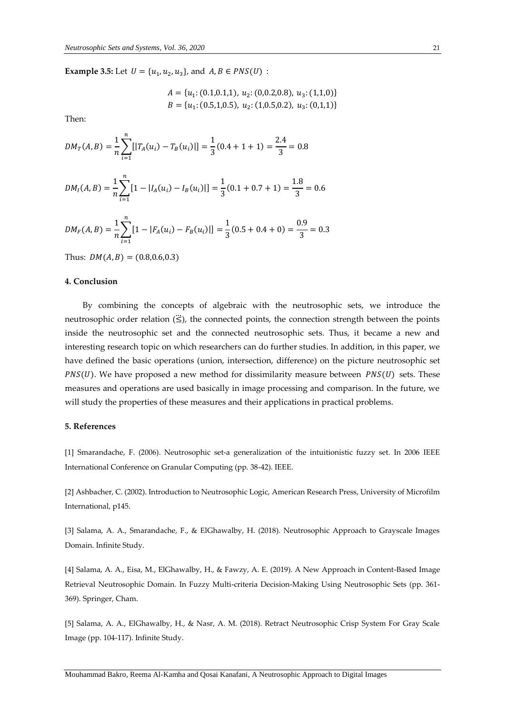**Example 3.5:** Let  $U = \{u_1, u_2, u_3\}$ , and  $A, B \in PNS(U)$ :

$$
A = \{u_1: (0.1, 0.1, 1), u_2: (0, 0.2, 0.8), u_3: (1, 1, 0)\}
$$
  

$$
B = \{u_1: (0.5, 1, 0.5), u_2: (1, 0.5, 0.2), u_3: (0, 1, 1)\}
$$

Then:

$$
DM_T(A, B) = \frac{1}{n} \sum_{i=1}^{n} [|T_A(u_i) - T_B(u_i)|] = \frac{1}{3}(0.4 + 1 + 1) = \frac{2.4}{3} = 0.8
$$

$$
DM_I(A, B) = \frac{1}{n} \sum_{i=1}^{n} [1 - |I_A(u_i) - I_B(u_i)|] = \frac{1}{3} (0.1 + 0.7 + 1) = \frac{1.8}{3} = 0.6
$$

$$
DM_F(A, B) = \frac{1}{n} \sum_{i=1}^{n} [1 - |F_A(u_i) - F_B(u_i)|] = \frac{1}{3} (0.5 + 0.4 + 0) = \frac{0.9}{3} = 0.3
$$

Thus:  $DM(A, B) = (0.8, 0.6, 0.3)$ 

### **4. Conclusion**

By combining the concepts of algebraic with the neutrosophic sets, we introduce the neutrosophic order relation  $(\ddot{\le})$ , the connected points, the connection strength between the points inside the neutrosophic set and the connected neutrosophic sets. Thus, it became a new and interesting research topic on which researchers can do further studies. In addition, in this paper, we have defined the basic operations (union, intersection, difference) on the picture neutrosophic set  $PNS(U)$ . We have proposed a new method for dissimilarity measure between  $PNS(U)$  sets. These measures and operations are used basically in image processing and comparison. In the future, we will study the properties of these measures and their applications in practical problems.

#### **5. References**

[1] Smarandache, F. (2006). Neutrosophic set-a generalization of the intuitionistic fuzzy set. In 2006 IEEE International Conference on Granular Computing (pp. 38-42). IEEE.

[2] Ashbacher, C. (2002). Introduction to Neutrosophic Logic, American Research Press, University of Microfilm International, p145.

[3] Salama, A. A., Smarandache, F., & ElGhawalby, H. (2018). Neutrosophic Approach to Grayscale Images Domain. Infinite Study.

[4] Salama, A. A., Eisa, M., ElGhawalby, H., & Fawzy, A. E. (2019). A New Approach in Content-Based Image Retrieval Neutrosophic Domain. In Fuzzy Multi-criteria Decision-Making Using Neutrosophic Sets (pp. 361- 369). Springer, Cham.

[5] Salama, A. A., ElGhawalby, H., & Nasr, A. M. (2018). Retract Neutrosophic Crisp System For Gray Scale Image (pp. 104-117). Infinite Study.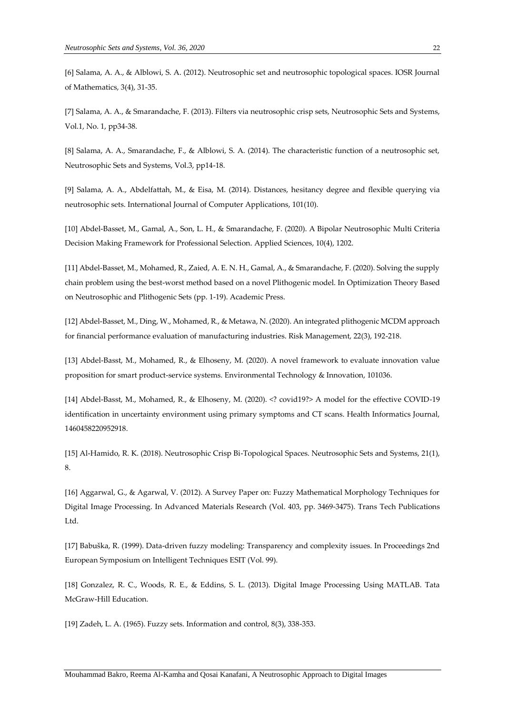[6] Salama, A. A., & Alblowi, S. A. (2012). Neutrosophic set and neutrosophic topological spaces. IOSR Journal of Mathematics, 3(4), 31-35.

[7] Salama, A. A., & Smarandache, F. (2013). Filters via neutrosophic crisp sets, Neutrosophic Sets and Systems, Vol.1, No. 1, pp34-38.

[8] Salama, A. A., Smarandache, F., & Alblowi, S. A. (2014). The characteristic function of a neutrosophic set, Neutrosophic Sets and Systems, Vol.3, pp14-18.

[9] Salama, A. A., Abdelfattah, M., & Eisa, M. (2014). Distances, hesitancy degree and flexible querying via neutrosophic sets. International Journal of Computer Applications, 101(10).

[10] Abdel-Basset, M., Gamal, A., Son, L. H., & Smarandache, F. (2020). A Bipolar Neutrosophic Multi Criteria Decision Making Framework for Professional Selection. Applied Sciences, 10(4), 1202.

[11] Abdel-Basset, M., Mohamed, R., Zaied, A. E. N. H., Gamal, A., & Smarandache, F. (2020). Solving the supply chain problem using the best-worst method based on a novel Plithogenic model. In Optimization Theory Based on Neutrosophic and Plithogenic Sets (pp. 1-19). Academic Press.

[12] Abdel-Basset, M., Ding, W., Mohamed, R., & Metawa, N. (2020). An integrated plithogenic MCDM approach for financial performance evaluation of manufacturing industries. Risk Management, 22(3), 192-218.

[13] Abdel-Basst, M., Mohamed, R., & Elhoseny, M. (2020). A novel framework to evaluate innovation value proposition for smart product-service systems. Environmental Technology & Innovation, 101036.

[14] Abdel-Basst, M., Mohamed, R., & Elhoseny, M. (2020). <? covid19?> A model for the effective COVID-19 identification in uncertainty environment using primary symptoms and CT scans. Health Informatics Journal, 1460458220952918.

[15] Al-Hamido, R. K. (2018). Neutrosophic Crisp Bi-Topological Spaces. Neutrosophic Sets and Systems, 21(1), 8.

[16] Aggarwal, G., & Agarwal, V. (2012). A Survey Paper on: Fuzzy Mathematical Morphology Techniques for Digital Image Processing. In Advanced Materials Research (Vol. 403, pp. 3469-3475). Trans Tech Publications Ltd.

[17] Babuška, R. (1999). Data-driven fuzzy modeling: Transparency and complexity issues. In Proceedings 2nd European Symposium on Intelligent Techniques ESIT (Vol. 99).

[18] Gonzalez, R. C., Woods, R. E., & Eddins, S. L. (2013). Digital Image Processing Using MATLAB. Tata McGraw-Hill Education.

[19] Zadeh, L. A. (1965). Fuzzy sets. Information and control, 8(3), 338-353.